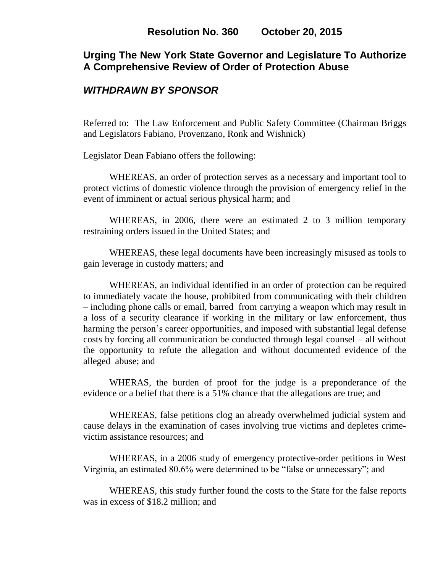# **Urging The New York State Governor and Legislature To Authorize A Comprehensive Review of Order of Protection Abuse**

# *WITHDRAWN BY SPONSOR*

Referred to: The Law Enforcement and Public Safety Committee (Chairman Briggs and Legislators Fabiano, Provenzano, Ronk and Wishnick)

Legislator Dean Fabiano offers the following:

WHEREAS, an order of protection serves as a necessary and important tool to protect victims of domestic violence through the provision of emergency relief in the event of imminent or actual serious physical harm; and

WHEREAS, in 2006, there were an estimated 2 to 3 million temporary restraining orders issued in the United States; and

WHEREAS, these legal documents have been increasingly misused as tools to gain leverage in custody matters; and

WHEREAS, an individual identified in an order of protection can be required to immediately vacate the house, prohibited from communicating with their children – including phone calls or email, barred from carrying a weapon which may result in a loss of a security clearance if working in the military or law enforcement, thus harming the person's career opportunities, and imposed with substantial legal defense costs by forcing all communication be conducted through legal counsel – all without the opportunity to refute the allegation and without documented evidence of the alleged abuse; and

WHERAS, the burden of proof for the judge is a preponderance of the evidence or a belief that there is a 51% chance that the allegations are true; and

WHEREAS, false petitions clog an already overwhelmed judicial system and cause delays in the examination of cases involving true victims and depletes crimevictim assistance resources; and

WHEREAS, in a 2006 study of emergency protective-order petitions in West Virginia, an estimated 80.6% were determined to be "false or unnecessary"; and

WHEREAS, this study further found the costs to the State for the false reports was in excess of \$18.2 million; and